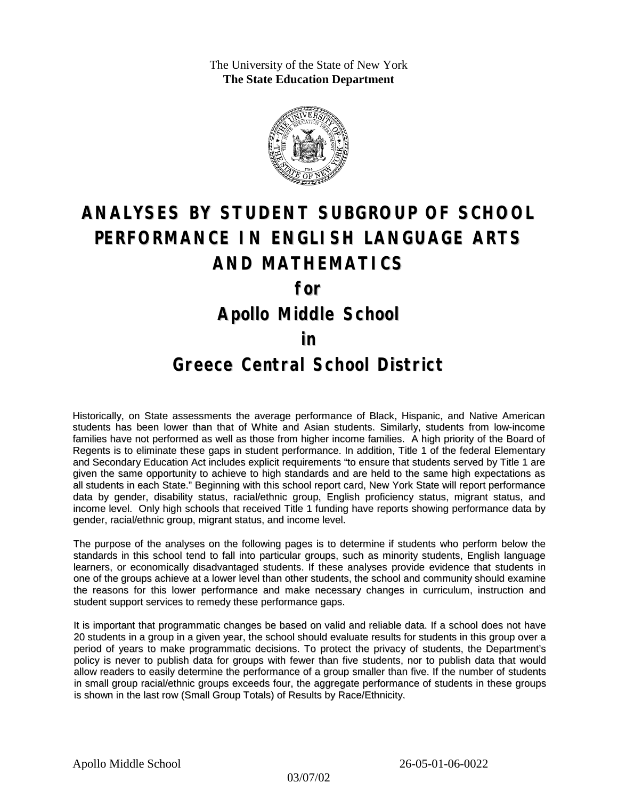The University of the State of New York **The State Education Department**



# **ANALYSES BY STUDENT SUBGROUP OF SCHOOL PERFORMANCE IN ENGLISH LANGUAGE ARTS AND MATHEMATICS for**

**Apollo Middle School**

#### **in**

### **Greece Central School District**

Historically, on State assessments the average performance of Black, Hispanic, and Native American students has been lower than that of White and Asian students. Similarly, students from low-income families have not performed as well as those from higher income families. A high priority of the Board of Regents is to eliminate these gaps in student performance. In addition, Title 1 of the federal Elementary and Secondary Education Act includes explicit requirements "to ensure that students served by Title 1 are given the same opportunity to achieve to high standards and are held to the same high expectations as all students in each State." Beginning with this school report card, New York State will report performance data by gender, disability status, racial/ethnic group, English proficiency status, migrant status, and income level. Only high schools that received Title 1 funding have reports showing performance data by gender, racial/ethnic group, migrant status, and income level.

The purpose of the analyses on the following pages is to determine if students who perform below the standards in this school tend to fall into particular groups, such as minority students, English language learners, or economically disadvantaged students. If these analyses provide evidence that students in one of the groups achieve at a lower level than other students, the school and community should examine the reasons for this lower performance and make necessary changes in curriculum, instruction and student support services to remedy these performance gaps.

It is important that programmatic changes be based on valid and reliable data. If a school does not have 20 students in a group in a given year, the school should evaluate results for students in this group over a period of years to make programmatic decisions. To protect the privacy of students, the Department's policy is never to publish data for groups with fewer than five students, nor to publish data that would allow readers to easily determine the performance of a group smaller than five. If the number of students in small group racial/ethnic groups exceeds four, the aggregate performance of students in these groups is shown in the last row (Small Group Totals) of Results by Race/Ethnicity.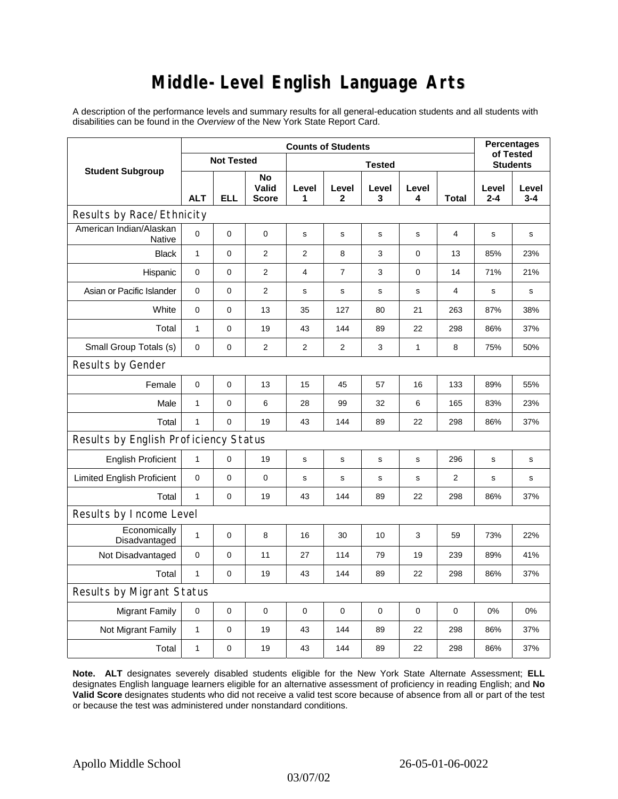## **Middle-Level English Language Arts**

A description of the performance levels and summary results for all general-education students and all students with disabilities can be found in the *Overview* of the New York State Report Card.

| <b>Student Subgroup</b>                  | <b>Counts of Students</b> |            |                             |                |                |             |             |                | <b>Percentages</b><br>of Tested |              |  |
|------------------------------------------|---------------------------|------------|-----------------------------|----------------|----------------|-------------|-------------|----------------|---------------------------------|--------------|--|
|                                          | <b>Not Tested</b>         |            |                             | <b>Tested</b>  |                |             |             |                | <b>Students</b>                 |              |  |
|                                          | <b>ALT</b>                | <b>ELL</b> | No<br>Valid<br><b>Score</b> | Level<br>1     | Level<br>2     | Level<br>3  | Level<br>4  | Total          | Level<br>$2 - 4$                | Level<br>3-4 |  |
| Results by Race/Ethnicity                |                           |            |                             |                |                |             |             |                |                                 |              |  |
| American Indian/Alaskan<br><b>Native</b> | 0                         | 0          | 0                           | s              | s              | s           | s           | 4              | s                               | s            |  |
| <b>Black</b>                             | $\mathbf{1}$              | 0          | $\overline{2}$              | $\overline{2}$ | 8              | 3           | $\mathbf 0$ | 13             | 85%                             | 23%          |  |
| Hispanic                                 | 0                         | 0          | $\overline{2}$              | 4              | $\overline{7}$ | 3           | 0           | 14             | 71%                             | 21%          |  |
| Asian or Pacific Islander                | $\mathbf{0}$              | 0          | 2                           | s              | $\mathbf s$    | $\mathbf s$ | s           | 4              | $\mathbf s$                     | s            |  |
| White                                    | 0                         | 0          | 13                          | 35             | 127            | 80          | 21          | 263            | 87%                             | 38%          |  |
| Total                                    | $\mathbf{1}$              | 0          | 19                          | 43             | 144            | 89          | 22          | 298            | 86%                             | 37%          |  |
| Small Group Totals (s)                   | 0                         | 0          | 2                           | 2              | 2              | 3           | 1           | 8              | 75%                             | 50%          |  |
| Results by Gender                        |                           |            |                             |                |                |             |             |                |                                 |              |  |
| Female                                   | $\mathbf 0$               | 0          | 13                          | 15             | 45             | 57          | 16          | 133            | 89%                             | 55%          |  |
| Male                                     | $\mathbf{1}$              | 0          | 6                           | 28             | 99             | 32          | 6           | 165            | 83%                             | 23%          |  |
| Total                                    | $\mathbf{1}$              | 0          | 19                          | 43             | 144            | 89          | 22          | 298            | 86%                             | 37%          |  |
| Results by English Proficiency Status    |                           |            |                             |                |                |             |             |                |                                 |              |  |
| <b>English Proficient</b>                | $\mathbf{1}$              | 0          | 19                          | s              | s              | ${\tt S}$   | s           | 296            | s                               | s            |  |
| <b>Limited English Proficient</b>        | 0                         | 0          | $\pmb{0}$                   | s              | s              | $\mathbf s$ | s           | $\overline{2}$ | $\mathbf s$                     | s            |  |
| Total                                    | $\mathbf{1}$              | 0          | 19                          | 43             | 144            | 89          | 22          | 298            | 86%                             | 37%          |  |
| Results by Income Level                  |                           |            |                             |                |                |             |             |                |                                 |              |  |
| Economically<br>Disadvantaged            | $\mathbf{1}$              | 0          | 8                           | 16             | 30             | 10          | 3           | 59             | 73%                             | 22%          |  |
| Not Disadvantaged                        | 0                         | 0          | 11                          | 27             | 114            | 79          | 19          | 239            | 89%                             | 41%          |  |
| Total                                    | $\mathbf{1}$              | 0          | 19                          | 43             | 144            | 89          | 22          | 298            | 86%                             | 37%          |  |
| Results by Migrant Status                |                           |            |                             |                |                |             |             |                |                                 |              |  |
| <b>Migrant Family</b>                    | 0                         | 0          | $\mathbf 0$                 | $\pmb{0}$      | 0              | 0           | 0           | 0              | 0%                              | 0%           |  |
| Not Migrant Family                       | 1                         | 0          | 19                          | 43             | 144            | 89          | 22          | 298            | 86%                             | 37%          |  |
| Total                                    | $\mathbf{1}$              | 0          | 19                          | 43             | 144            | 89          | 22          | 298            | 86%                             | 37%          |  |

**Note. ALT** designates severely disabled students eligible for the New York State Alternate Assessment; **ELL** designates English language learners eligible for an alternative assessment of proficiency in reading English; and **No Valid Score** designates students who did not receive a valid test score because of absence from all or part of the test or because the test was administered under nonstandard conditions.